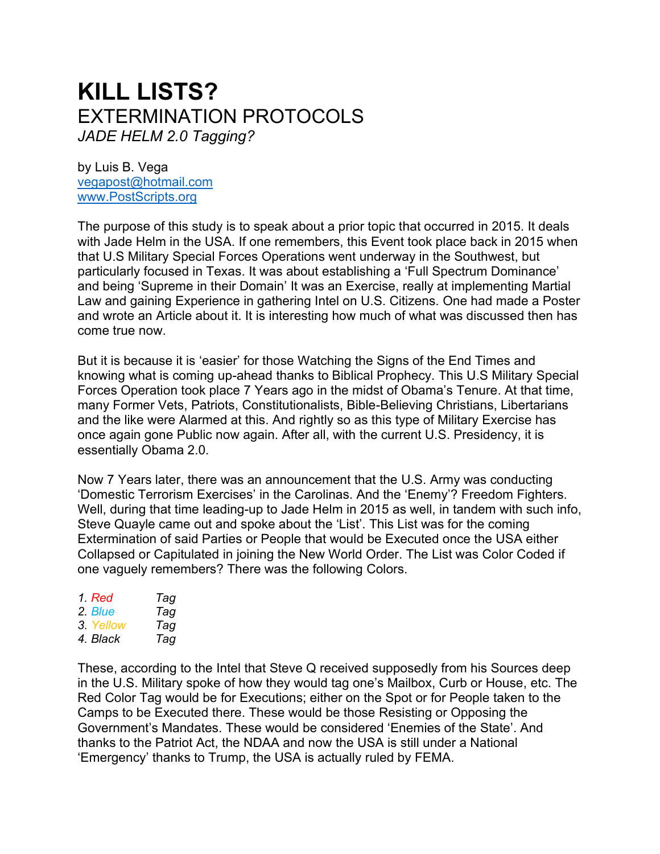# **KILL LISTS?** EXTERMINATION PROTOCOLS *JADE HELM 2.0 Tagging?*

by Luis B. Vega [vegapost@hotmail.com](mailto:vegapost@hotmail.com) [www.PostScripts.org](http://www.postscripts.org/)

The purpose of this study is to speak about a prior topic that occurred in 2015. It deals with Jade Helm in the USA. If one remembers, this Event took place back in 2015 when that U.S Military Special Forces Operations went underway in the Southwest, but particularly focused in Texas. It was about establishing a 'Full Spectrum Dominance' and being 'Supreme in their Domain' It was an Exercise, really at implementing Martial Law and gaining Experience in gathering Intel on U.S. Citizens. One had made a Poster and wrote an Article about it. It is interesting how much of what was discussed then has come true now.

But it is because it is 'easier' for those Watching the Signs of the End Times and knowing what is coming up-ahead thanks to Biblical Prophecy. This U.S Military Special Forces Operation took place 7 Years ago in the midst of Obama's Tenure. At that time, many Former Vets, Patriots, Constitutionalists, Bible-Believing Christians, Libertarians and the like were Alarmed at this. And rightly so as this type of Military Exercise has once again gone Public now again. After all, with the current U.S. Presidency, it is essentially Obama 2.0.

Now 7 Years later, there was an announcement that the U.S. Army was conducting 'Domestic Terrorism Exercises' in the Carolinas. And the 'Enemy'? Freedom Fighters. Well, during that time leading-up to Jade Helm in 2015 as well, in tandem with such info, Steve Quayle came out and spoke about the 'List'. This List was for the coming Extermination of said Parties or People that would be Executed once the USA either Collapsed or Capitulated in joining the New World Order. The List was Color Coded if one vaguely remembers? There was the following Colors.

| 1. Red    | Tag |
|-----------|-----|
| 2. Blue   | Tag |
| 3. Yellow | Tag |
| 4. Black  | Tag |

These, according to the Intel that Steve Q received supposedly from his Sources deep in the U.S. Military spoke of how they would tag one's Mailbox, Curb or House, etc. The Red Color Tag would be for Executions; either on the Spot or for People taken to the Camps to be Executed there. These would be those Resisting or Opposing the Government's Mandates. These would be considered 'Enemies of the State'. And thanks to the Patriot Act, the NDAA and now the USA is still under a National 'Emergency' thanks to Trump, the USA is actually ruled by FEMA.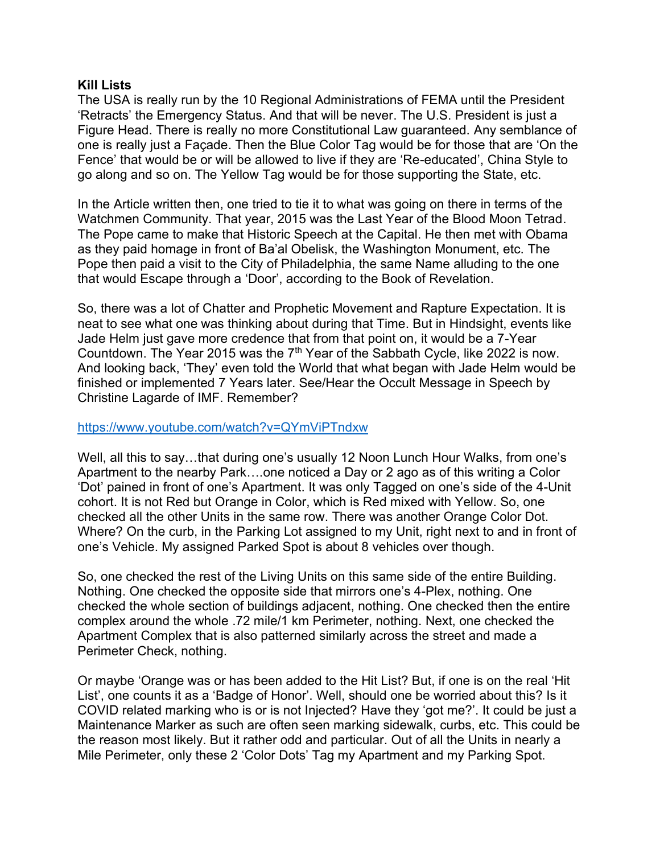#### **Kill Lists**

The USA is really run by the 10 Regional Administrations of FEMA until the President 'Retracts' the Emergency Status. And that will be never. The U.S. President is just a Figure Head. There is really no more Constitutional Law guaranteed. Any semblance of one is really just a Façade. Then the Blue Color Tag would be for those that are 'On the Fence' that would be or will be allowed to live if they are 'Re-educated', China Style to go along and so on. The Yellow Tag would be for those supporting the State, etc.

In the Article written then, one tried to tie it to what was going on there in terms of the Watchmen Community. That year, 2015 was the Last Year of the Blood Moon Tetrad. The Pope came to make that Historic Speech at the Capital. He then met with Obama as they paid homage in front of Ba'al Obelisk, the Washington Monument, etc. The Pope then paid a visit to the City of Philadelphia, the same Name alluding to the one that would Escape through a 'Door', according to the Book of Revelation.

So, there was a lot of Chatter and Prophetic Movement and Rapture Expectation. It is neat to see what one was thinking about during that Time. But in Hindsight, events like Jade Helm just gave more credence that from that point on, it would be a 7-Year Countdown. The Year 2015 was the  $7<sup>th</sup>$  Year of the Sabbath Cycle, like 2022 is now. And looking back, 'They' even told the World that what began with Jade Helm would be finished or implemented 7 Years later. See/Hear the Occult Message in Speech by Christine Lagarde of IMF. Remember?

#### <https://www.youtube.com/watch?v=QYmViPTndxw>

Well, all this to say…that during one's usually 12 Noon Lunch Hour Walks, from one's Apartment to the nearby Park….one noticed a Day or 2 ago as of this writing a Color 'Dot' pained in front of one's Apartment. It was only Tagged on one's side of the 4-Unit cohort. It is not Red but Orange in Color, which is Red mixed with Yellow. So, one checked all the other Units in the same row. There was another Orange Color Dot. Where? On the curb, in the Parking Lot assigned to my Unit, right next to and in front of one's Vehicle. My assigned Parked Spot is about 8 vehicles over though.

So, one checked the rest of the Living Units on this same side of the entire Building. Nothing. One checked the opposite side that mirrors one's 4-Plex, nothing. One checked the whole section of buildings adjacent, nothing. One checked then the entire complex around the whole .72 mile/1 km Perimeter, nothing. Next, one checked the Apartment Complex that is also patterned similarly across the street and made a Perimeter Check, nothing.

Or maybe 'Orange was or has been added to the Hit List? But, if one is on the real 'Hit List', one counts it as a 'Badge of Honor'. Well, should one be worried about this? Is it COVID related marking who is or is not Injected? Have they 'got me?'. It could be just a Maintenance Marker as such are often seen marking sidewalk, curbs, etc. This could be the reason most likely. But it rather odd and particular. Out of all the Units in nearly a Mile Perimeter, only these 2 'Color Dots' Tag my Apartment and my Parking Spot.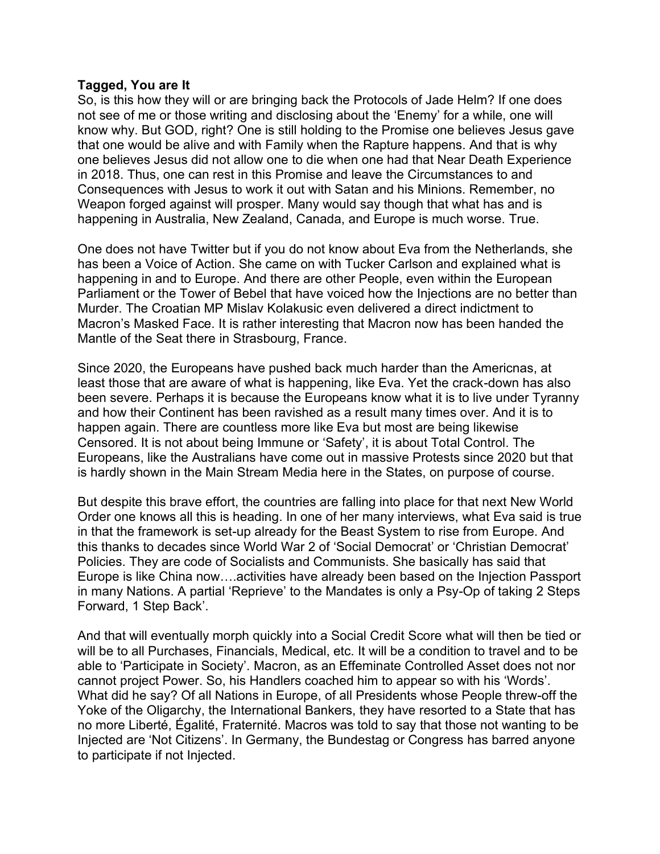#### **Tagged, You are It**

So, is this how they will or are bringing back the Protocols of Jade Helm? If one does not see of me or those writing and disclosing about the 'Enemy' for a while, one will know why. But GOD, right? One is still holding to the Promise one believes Jesus gave that one would be alive and with Family when the Rapture happens. And that is why one believes Jesus did not allow one to die when one had that Near Death Experience in 2018. Thus, one can rest in this Promise and leave the Circumstances to and Consequences with Jesus to work it out with Satan and his Minions. Remember, no Weapon forged against will prosper. Many would say though that what has and is happening in Australia, New Zealand, Canada, and Europe is much worse. True.

One does not have Twitter but if you do not know about Eva from the Netherlands, she has been a Voice of Action. She came on with Tucker Carlson and explained what is happening in and to Europe. And there are other People, even within the European Parliament or the Tower of Bebel that have voiced how the Injections are no better than Murder. The Croatian MP Mislav Kolakusic even delivered a direct indictment to Macron's Masked Face. It is rather interesting that Macron now has been handed the Mantle of the Seat there in Strasbourg, France.

Since 2020, the Europeans have pushed back much harder than the Americnas, at least those that are aware of what is happening, like Eva. Yet the crack-down has also been severe. Perhaps it is because the Europeans know what it is to live under Tyranny and how their Continent has been ravished as a result many times over. And it is to happen again. There are countless more like Eva but most are being likewise Censored. It is not about being Immune or 'Safety', it is about Total Control. The Europeans, like the Australians have come out in massive Protests since 2020 but that is hardly shown in the Main Stream Media here in the States, on purpose of course.

But despite this brave effort, the countries are falling into place for that next New World Order one knows all this is heading. In one of her many interviews, what Eva said is true in that the framework is set-up already for the Beast System to rise from Europe. And this thanks to decades since World War 2 of 'Social Democrat' or 'Christian Democrat' Policies. They are code of Socialists and Communists. She basically has said that Europe is like China now….activities have already been based on the Injection Passport in many Nations. A partial 'Reprieve' to the Mandates is only a Psy-Op of taking 2 Steps Forward, 1 Step Back'.

And that will eventually morph quickly into a Social Credit Score what will then be tied or will be to all Purchases, Financials, Medical, etc. It will be a condition to travel and to be able to 'Participate in Society'. Macron, as an Effeminate Controlled Asset does not nor cannot project Power. So, his Handlers coached him to appear so with his 'Words'. What did he say? Of all Nations in Europe, of all Presidents whose People threw-off the Yoke of the Oligarchy, the International Bankers, they have resorted to a State that has no more Liberté, Égalité, Fraternité. Macros was told to say that those not wanting to be Injected are 'Not Citizens'. In Germany, the Bundestag or Congress has barred anyone to participate if not Injected.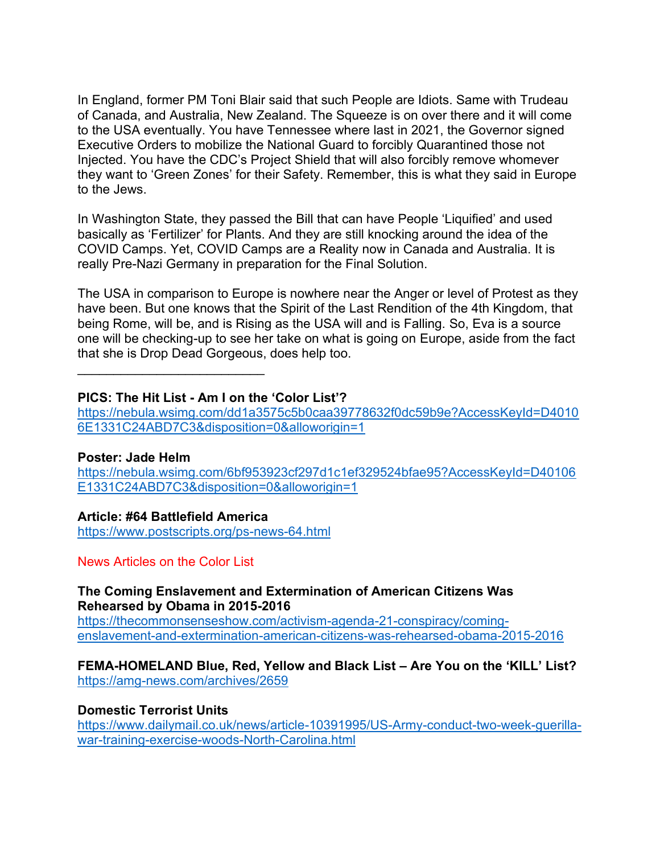In England, former PM Toni Blair said that such People are Idiots. Same with Trudeau of Canada, and Australia, New Zealand. The Squeeze is on over there and it will come to the USA eventually. You have Tennessee where last in 2021, the Governor signed Executive Orders to mobilize the National Guard to forcibly Quarantined those not Injected. You have the CDC's Project Shield that will also forcibly remove whomever they want to 'Green Zones' for their Safety. Remember, this is what they said in Europe to the Jews.

In Washington State, they passed the Bill that can have People 'Liquified' and used basically as 'Fertilizer' for Plants. And they are still knocking around the idea of the COVID Camps. Yet, COVID Camps are a Reality now in Canada and Australia. It is really Pre-Nazi Germany in preparation for the Final Solution.

The USA in comparison to Europe is nowhere near the Anger or level of Protest as they have been. But one knows that the Spirit of the Last Rendition of the 4th Kingdom, that being Rome, will be, and is Rising as the USA will and is Falling. So, Eva is a source one will be checking-up to see her take on what is going on Europe, aside from the fact that she is Drop Dead Gorgeous, does help too.

\_\_\_\_\_\_\_\_\_\_\_\_\_\_\_\_\_\_\_\_\_\_\_\_\_\_

### **PICS: The Hit List - Am I on the 'Color List'?**

[https://nebula.wsimg.com/dd1a3575c5b0caa39778632f0dc59b9e?AccessKeyId=D4010](https://nebula.wsimg.com/dd1a3575c5b0caa39778632f0dc59b9e?AccessKeyId=D40106E1331C24ABD7C3&disposition=0&alloworigin=1) [6E1331C24ABD7C3&disposition=0&alloworigin=1](https://nebula.wsimg.com/dd1a3575c5b0caa39778632f0dc59b9e?AccessKeyId=D40106E1331C24ABD7C3&disposition=0&alloworigin=1)

#### **Poster: Jade Helm**

[https://nebula.wsimg.com/6bf953923cf297d1c1ef329524bfae95?AccessKeyId=D40106](https://nebula.wsimg.com/6bf953923cf297d1c1ef329524bfae95?AccessKeyId=D40106E1331C24ABD7C3&disposition=0&alloworigin=1) [E1331C24ABD7C3&disposition=0&alloworigin=1](https://nebula.wsimg.com/6bf953923cf297d1c1ef329524bfae95?AccessKeyId=D40106E1331C24ABD7C3&disposition=0&alloworigin=1)

#### **Article: #64 Battlefield America**

<https://www.postscripts.org/ps-news-64.html>

News Articles on the Color List

#### **The Coming Enslavement and Extermination of American Citizens Was Rehearsed by Obama in 2015-2016**

[https://thecommonsenseshow.com/activism-agenda-21-conspiracy/coming](https://thecommonsenseshow.com/activism-agenda-21-conspiracy/coming-enslavement-and-extermination-american-citizens-was-rehearsed-obama-2015-2016)[enslavement-and-extermination-american-citizens-was-rehearsed-obama-2015-2016](https://thecommonsenseshow.com/activism-agenda-21-conspiracy/coming-enslavement-and-extermination-american-citizens-was-rehearsed-obama-2015-2016)

#### **FEMA-HOMELAND Blue, Red, Yellow and Black List – Are You on the 'KILL' List?**  <https://amg-news.com/archives/2659>

#### **Domestic Terrorist Units**

[https://www.dailymail.co.uk/news/article-10391995/US-Army-conduct-two-week-guerilla](https://www.dailymail.co.uk/news/article-10391995/US-Army-conduct-two-week-guerilla-war-training-exercise-woods-North-Carolina.html)[war-training-exercise-woods-North-Carolina.html](https://www.dailymail.co.uk/news/article-10391995/US-Army-conduct-two-week-guerilla-war-training-exercise-woods-North-Carolina.html)